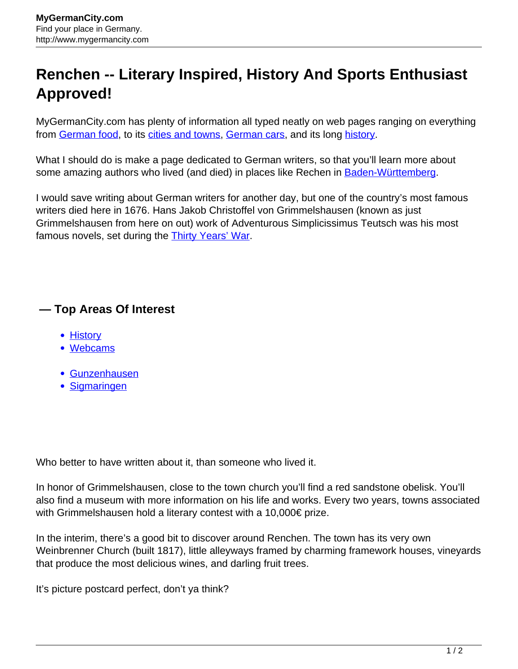## **Renchen -- Literary Inspired, History And Sports Enthusiast Approved!**

MyGermanCity.com has plenty of information all typed neatly on web pages ranging on everything from [German food,](http://www.mygermancity.com/german-food) to its [cities and towns,](http://www.mygermancity.com/german-cities) [German cars,](http://www.mygermancity.com/german-cars) and its long [history](http://www.mygermancity.com/german-history).

What I should do is make a page dedicated to German writers, so that you'll learn more about some amazing authors who lived (and died) in places like Rechen in [Baden-Württemberg](http://www.mygermancity.com/baden-wuerttemberg).

I would save writing about German writers for another day, but one of the country's most famous writers died here in 1676. Hans Jakob Christoffel von Grimmelshausen (known as just Grimmelshausen from here on out) work of Adventurous Simplicissimus Teutsch was his most famous novels, set during the **[Thirty Years' War](http://www.mygermancity.com/thirty-years-war).** 

## **— Top Areas Of Interest**

- **[History](http://www.mygermancity.com/leipzig-history)**
- [Webcams](http://www.mygermancity.com/neustadt-holstein-webcams)
- [Gunzenhausen](http://www.mygermancity.com/gunzenhausen)
- [Sigmaringen](http://www.mygermancity.com/sigmaringen)

Who better to have written about it, than someone who lived it.

In honor of Grimmelshausen, close to the town church you'll find a red sandstone obelisk. You'll also find a museum with more information on his life and works. Every two years, towns associated with Grimmelshausen hold a literary contest with a 10,000€ prize.

In the interim, there's a good bit to discover around Renchen. The town has its very own Weinbrenner Church (built 1817), little alleyways framed by charming framework houses, vineyards that produce the most delicious wines, and darling fruit trees.

It's picture postcard perfect, don't ya think?